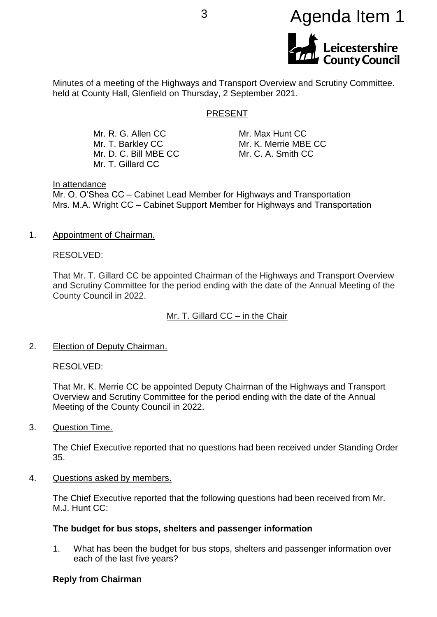

Minutes of a meeting of the Highways and Transport Overview and Scrutiny Committee. held at County Hall, Glenfield on Thursday, 2 September 2021.

#### PRESENT

Mr. R. G. Allen CC Mr. T. Barkley CC Mr. D. C. Bill MBE CC Mr. T. Gillard CC

Mr. Max Hunt CC Mr. K. Merrie MBE CC Mr. C. A. Smith CC

#### In attendance

Mr. O. O'Shea CC – Cabinet Lead Member for Highways and Transportation Mrs. M.A. Wright CC – Cabinet Support Member for Highways and Transportation

1. Appointment of Chairman.

RESOLVED:

That Mr. T. Gillard CC be appointed Chairman of the Highways and Transport Overview and Scrutiny Committee for the period ending with the date of the Annual Meeting of the County Council in 2022.

Mr. T. Gillard CC – in the Chair

2. Election of Deputy Chairman.

RESOLVED:

That Mr. K. Merrie CC be appointed Deputy Chairman of the Highways and Transport Overview and Scrutiny Committee for the period ending with the date of the Annual Meeting of the County Council in 2022.

3. Question Time.

The Chief Executive reported that no questions had been received under Standing Order 35.

4. Questions asked by members.

The Chief Executive reported that the following questions had been received from Mr. M.J. Hunt CC:

#### **The budget for bus stops, shelters and passenger information**

1. What has been the budget for bus stops, shelters and passenger information over each of the last five years?

#### **Reply from Chairman**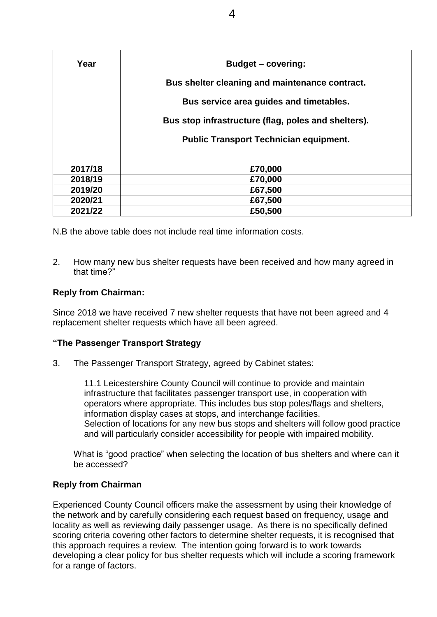| Year    | <b>Budget – covering:</b>                           |
|---------|-----------------------------------------------------|
|         | Bus shelter cleaning and maintenance contract.      |
|         | Bus service area guides and timetables.             |
|         | Bus stop infrastructure (flag, poles and shelters). |
|         | <b>Public Transport Technician equipment.</b>       |
|         |                                                     |
| 2017/18 | £70,000                                             |
| 2018/19 | £70,000                                             |
| 2019/20 | £67,500                                             |
| 2020/21 | £67,500                                             |
| 2021/22 | £50,500                                             |

N.B the above table does not include real time information costs.

2. How many new bus shelter requests have been received and how many agreed in that time?"

## **Reply from Chairman:**

Since 2018 we have received 7 new shelter requests that have not been agreed and 4 replacement shelter requests which have all been agreed.

## **"The Passenger Transport Strategy**

3. The Passenger Transport Strategy, agreed by Cabinet states:

11.1 Leicestershire County Council will continue to provide and maintain infrastructure that facilitates passenger transport use, in cooperation with operators where appropriate. This includes bus stop poles/flags and shelters, information display cases at stops, and interchange facilities. Selection of locations for any new bus stops and shelters will follow good practice and will particularly consider accessibility for people with impaired mobility.

What is "good practice" when selecting the location of bus shelters and where can it be accessed?

### **Reply from Chairman**

Experienced County Council officers make the assessment by using their knowledge of the network and by carefully considering each request based on frequency, usage and locality as well as reviewing daily passenger usage. As there is no specifically defined scoring criteria covering other factors to determine shelter requests, it is recognised that this approach requires a review. The intention going forward is to work towards developing a clear policy for bus shelter requests which will include a scoring framework for a range of factors.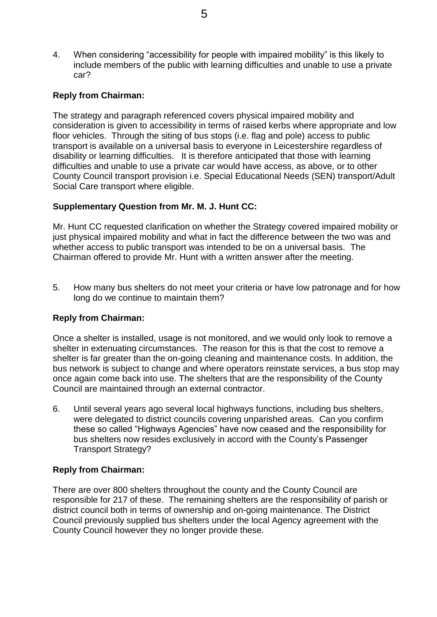4. When considering "accessibility for people with impaired mobility" is this likely to include members of the public with learning difficulties and unable to use a private car?

## **Reply from Chairman:**

The strategy and paragraph referenced covers physical impaired mobility and consideration is given to accessibility in terms of raised kerbs where appropriate and low floor vehicles. Through the siting of bus stops (i.e. flag and pole) access to public transport is available on a universal basis to everyone in Leicestershire regardless of disability or learning difficulties. It is therefore anticipated that those with learning difficulties and unable to use a private car would have access, as above, or to other County Council transport provision i.e. Special Educational Needs (SEN) transport/Adult Social Care transport where eligible.

### **Supplementary Question from Mr. M. J. Hunt CC:**

Mr. Hunt CC requested clarification on whether the Strategy covered impaired mobility or just physical impaired mobility and what in fact the difference between the two was and whether access to public transport was intended to be on a universal basis. The Chairman offered to provide Mr. Hunt with a written answer after the meeting.

5. How many bus shelters do not meet your criteria or have low patronage and for how long do we continue to maintain them?

### **Reply from Chairman:**

Once a shelter is installed, usage is not monitored, and we would only look to remove a shelter in extenuating circumstances. The reason for this is that the cost to remove a shelter is far greater than the on-going cleaning and maintenance costs. In addition, the bus network is subject to change and where operators reinstate services, a bus stop may once again come back into use. The shelters that are the responsibility of the County Council are maintained through an external contractor.

6. Until several years ago several local highways functions, including bus shelters, were delegated to district councils covering unparished areas. Can you confirm these so called "Highways Agencies" have now ceased and the responsibility for bus shelters now resides exclusively in accord with the County's Passenger Transport Strategy?

### **Reply from Chairman:**

There are over 800 shelters throughout the county and the County Council are responsible for 217 of these. The remaining shelters are the responsibility of parish or district council both in terms of ownership and on-going maintenance. The District Council previously supplied bus shelters under the local Agency agreement with the County Council however they no longer provide these.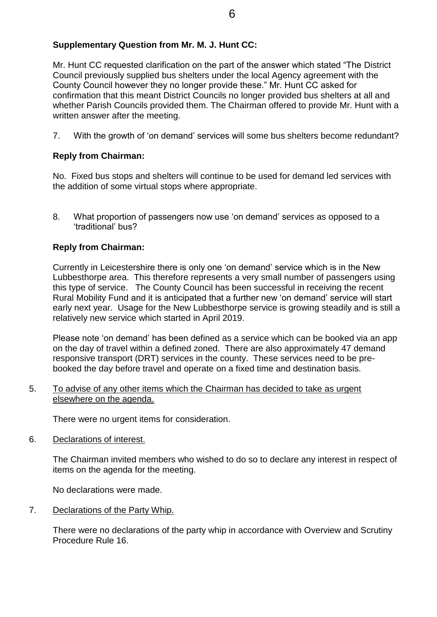## **Supplementary Question from Mr. M. J. Hunt CC:**

Mr. Hunt CC requested clarification on the part of the answer which stated "The District Council previously supplied bus shelters under the local Agency agreement with the County Council however they no longer provide these." Mr. Hunt CC asked for confirmation that this meant District Councils no longer provided bus shelters at all and whether Parish Councils provided them. The Chairman offered to provide Mr. Hunt with a written answer after the meeting.

7. With the growth of 'on demand' services will some bus shelters become redundant?

### **Reply from Chairman:**

No. Fixed bus stops and shelters will continue to be used for demand led services with the addition of some virtual stops where appropriate.

8. What proportion of passengers now use 'on demand' services as opposed to a 'traditional' bus?

#### **Reply from Chairman:**

Currently in Leicestershire there is only one 'on demand' service which is in the New Lubbesthorpe area. This therefore represents a very small number of passengers using this type of service. The County Council has been successful in receiving the recent Rural Mobility Fund and it is anticipated that a further new 'on demand' service will start early next year. Usage for the New Lubbesthorpe service is growing steadily and is still a relatively new service which started in April 2019.

Please note 'on demand' has been defined as a service which can be booked via an app on the day of travel within a defined zoned. There are also approximately 47 demand responsive transport (DRT) services in the county. These services need to be prebooked the day before travel and operate on a fixed time and destination basis.

#### 5. To advise of any other items which the Chairman has decided to take as urgent elsewhere on the agenda.

There were no urgent items for consideration.

6. Declarations of interest.

The Chairman invited members who wished to do so to declare any interest in respect of items on the agenda for the meeting.

No declarations were made.

7. Declarations of the Party Whip.

There were no declarations of the party whip in accordance with Overview and Scrutiny Procedure Rule 16.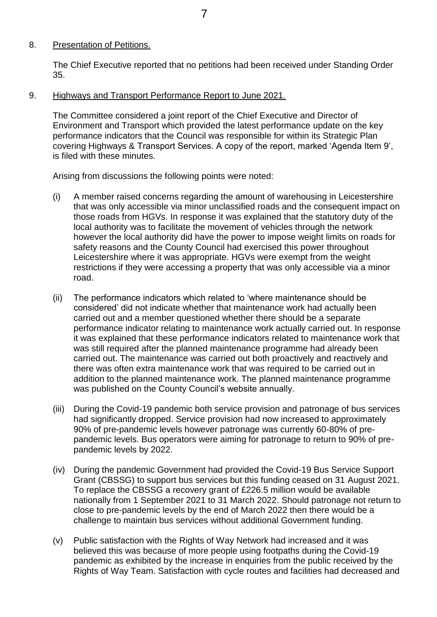# 8. Presentation of Petitions.

The Chief Executive reported that no petitions had been received under Standing Order 35.

9. Highways and Transport Performance Report to June 2021.

The Committee considered a joint report of the Chief Executive and Director of Environment and Transport which provided the latest performance update on the key performance indicators that the Council was responsible for within its Strategic Plan covering Highways & Transport Services. A copy of the report, marked 'Agenda Item 9', is filed with these minutes.

Arising from discussions the following points were noted:

- (i) A member raised concerns regarding the amount of warehousing in Leicestershire that was only accessible via minor unclassified roads and the consequent impact on those roads from HGVs. In response it was explained that the statutory duty of the local authority was to facilitate the movement of vehicles through the network however the local authority did have the power to impose weight limits on roads for safety reasons and the County Council had exercised this power throughout Leicestershire where it was appropriate. HGVs were exempt from the weight restrictions if they were accessing a property that was only accessible via a minor road.
- (ii) The performance indicators which related to 'where maintenance should be considered' did not indicate whether that maintenance work had actually been carried out and a member questioned whether there should be a separate performance indicator relating to maintenance work actually carried out. In response it was explained that these performance indicators related to maintenance work that was still required after the planned maintenance programme had already been carried out. The maintenance was carried out both proactively and reactively and there was often extra maintenance work that was required to be carried out in addition to the planned maintenance work. The planned maintenance programme was published on the County Council's website annually.
- (iii) During the Covid-19 pandemic both service provision and patronage of bus services had significantly dropped. Service provision had now increased to approximately 90% of pre-pandemic levels however patronage was currently 60-80% of prepandemic levels. Bus operators were aiming for patronage to return to 90% of prepandemic levels by 2022.
- (iv) During the pandemic Government had provided the Covid-19 Bus Service Support Grant (CBSSG) to support bus services but this funding ceased on 31 August 2021. To replace the CBSSG a recovery grant of £226.5 million would be available nationally from 1 September 2021 to 31 March 2022. Should patronage not return to close to pre-pandemic levels by the end of March 2022 then there would be a challenge to maintain bus services without additional Government funding.
- (v) Public satisfaction with the Rights of Way Network had increased and it was believed this was because of more people using footpaths during the Covid-19 pandemic as exhibited by the increase in enquiries from the public received by the Rights of Way Team. Satisfaction with cycle routes and facilities had decreased and